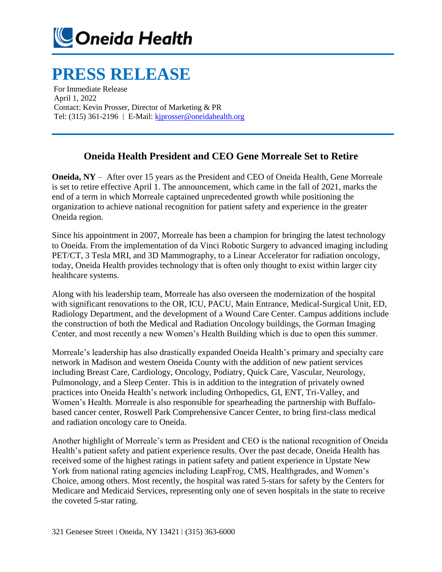

## **PRESS RELEASE**

For Immediate Release April 1, 2022 Contact: Kevin Prosser, Director of Marketing & PR Tel: (315) 361-2196 | E-Mail[: kjprosser@oneidahealth.org](mailto:kjprosser@oneidahealth.org)

## **Oneida Health President and CEO Gene Morreale Set to Retire**

**Oneida, NY** – After over 15 years as the President and CEO of Oneida Health, Gene Morreale is set to retire effective April 1. The announcement, which came in the fall of 2021, marks the end of a term in which Morreale captained unprecedented growth while positioning the organization to achieve national recognition for patient safety and experience in the greater Oneida region.

Since his appointment in 2007, Morreale has been a champion for bringing the latest technology to Oneida. From the implementation of da Vinci Robotic Surgery to advanced imaging including PET/CT, 3 Tesla MRI, and 3D Mammography, to a Linear Accelerator for radiation oncology, today, Oneida Health provides technology that is often only thought to exist within larger city healthcare systems.

Along with his leadership team, Morreale has also overseen the modernization of the hospital with significant renovations to the OR, ICU, PACU, Main Entrance, Medical-Surgical Unit, ED, Radiology Department, and the development of a Wound Care Center. Campus additions include the construction of both the Medical and Radiation Oncology buildings, the Gorman Imaging Center, and most recently a new Women's Health Building which is due to open this summer.

Morreale's leadership has also drastically expanded Oneida Health's primary and specialty care network in Madison and western Oneida County with the addition of new patient services including Breast Care, Cardiology, Oncology, Podiatry, Quick Care, Vascular, Neurology, Pulmonology, and a Sleep Center. This is in addition to the integration of privately owned practices into Oneida Health's network including Orthopedics, GI, ENT, Tri-Valley, and Women's Health. Morreale is also responsible for spearheading the partnership with Buffalobased cancer center, Roswell Park Comprehensive Cancer Center, to bring first-class medical and radiation oncology care to Oneida.

Another highlight of Morreale's term as President and CEO is the national recognition of Oneida Health's patient safety and patient experience results. Over the past decade, Oneida Health has received some of the highest ratings in patient safety and patient experience in Upstate New York from national rating agencies including LeapFrog, CMS, Healthgrades, and Women's Choice, among others. Most recently, the hospital was rated 5-stars for safety by the Centers for Medicare and Medicaid Services, representing only one of seven hospitals in the state to receive the coveted 5-star rating.